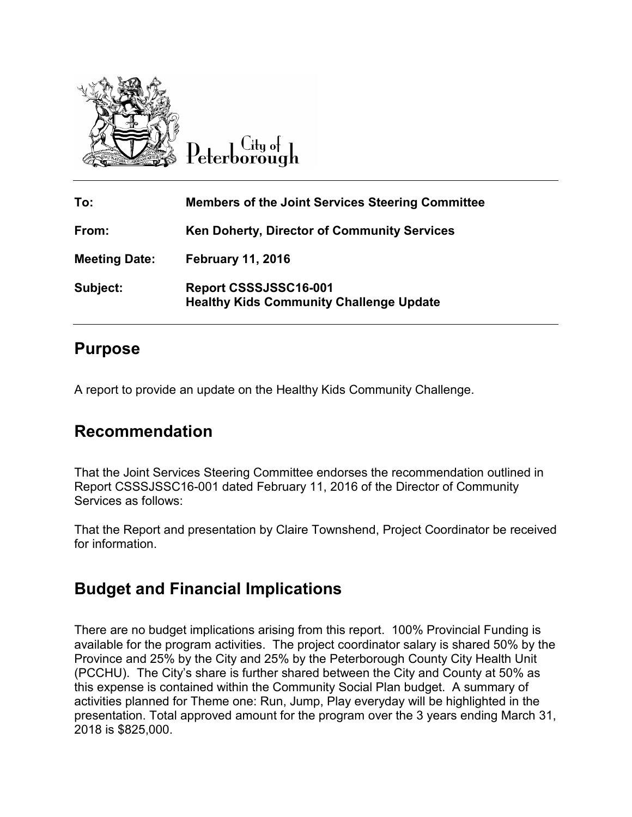

City o∤ ∖

| To:                  | <b>Members of the Joint Services Steering Committee</b>                 |
|----------------------|-------------------------------------------------------------------------|
| From:                | <b>Ken Doherty, Director of Community Services</b>                      |
| <b>Meeting Date:</b> | <b>February 11, 2016</b>                                                |
| Subject:             | Report CSSSJSSC16-001<br><b>Healthy Kids Community Challenge Update</b> |

## **Purpose**

A report to provide an update on the Healthy Kids Community Challenge.

## **Recommendation**

That the Joint Services Steering Committee endorses the recommendation outlined in Report CSSSJSSC16-001 dated February 11, 2016 of the Director of Community Services as follows:

That the Report and presentation by Claire Townshend, Project Coordinator be received for information.

## **Budget and Financial Implications**

There are no budget implications arising from this report. 100% Provincial Funding is available for the program activities. The project coordinator salary is shared 50% by the Province and 25% by the City and 25% by the Peterborough County City Health Unit (PCCHU). The City's share is further shared between the City and County at 50% as this expense is contained within the Community Social Plan budget. A summary of activities planned for Theme one: Run, Jump, Play everyday will be highlighted in the presentation. Total approved amount for the program over the 3 years ending March 31, 2018 is \$825,000.